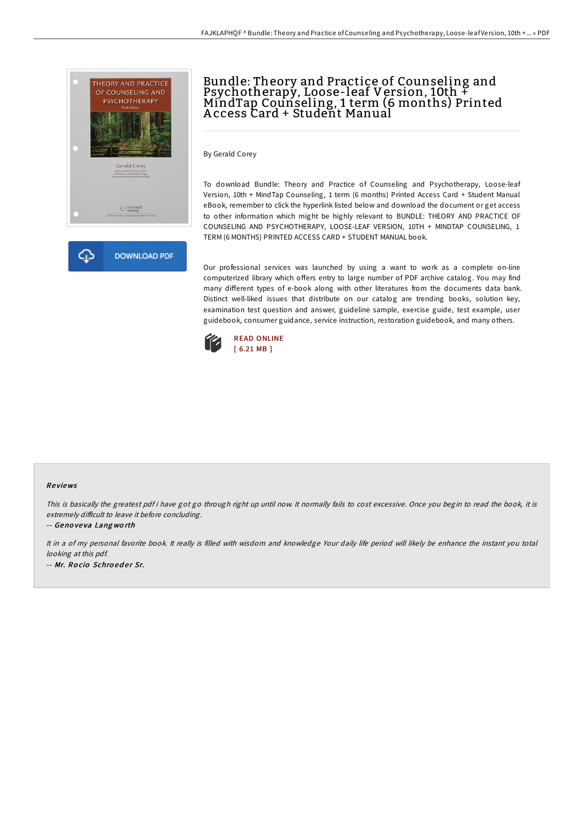



# Bundle: Theory and Practice of Counseling and Psychotherapy, Loose-leaf Version, 10th + MindTap Counseling, 1 term (6 months) Printed A ccess Card + Student Manual

By Gerald Corey

To download Bundle: Theory and Practice of Counseling and Psychotherapy, Loose-leaf Version, 10th + MindTap Counseling, 1 term (6 months) Printed Access Card + Student Manual eBook, remember to click the hyperlink listed below and download the document or get access to other information which might be highly relevant to BUNDLE: THEORY AND PRACTICE OF COUNSELING AND PSYCHOTHERAPY, LOOSE-LEAF VERSION, 10TH + MINDTAP COUNSELING, 1 TERM (6 MONTHS) PRINTED ACCESS CARD + STUDENT MANUAL book.

Our professional services was launched by using a want to work as a complete on-line computerized library which offers entry to large number of PDF archive catalog. You may find many different types of e-book along with other literatures from the documents data bank. Distinct well-liked issues that distribute on our catalog are trending books, solution key, examination test question and answer, guideline sample, exercise guide, test example, user guidebook, consumer guidance, service instruction, restoration guidebook, and many others.



#### Re views

This is basically the greatest pdf i have got go through right up until now. It normally fails to cost excessive. Once you begin to read the book, it is extremely difficult to leave it before concluding.

-- Geno ve va Lang wo rth

It in <sup>a</sup> of my personal favorite book. It really is filled with wisdom and knowledge Your daily life period will likely be enhance the instant you total looking at this pdf. -- Mr. Rocio Schroeder Sr.